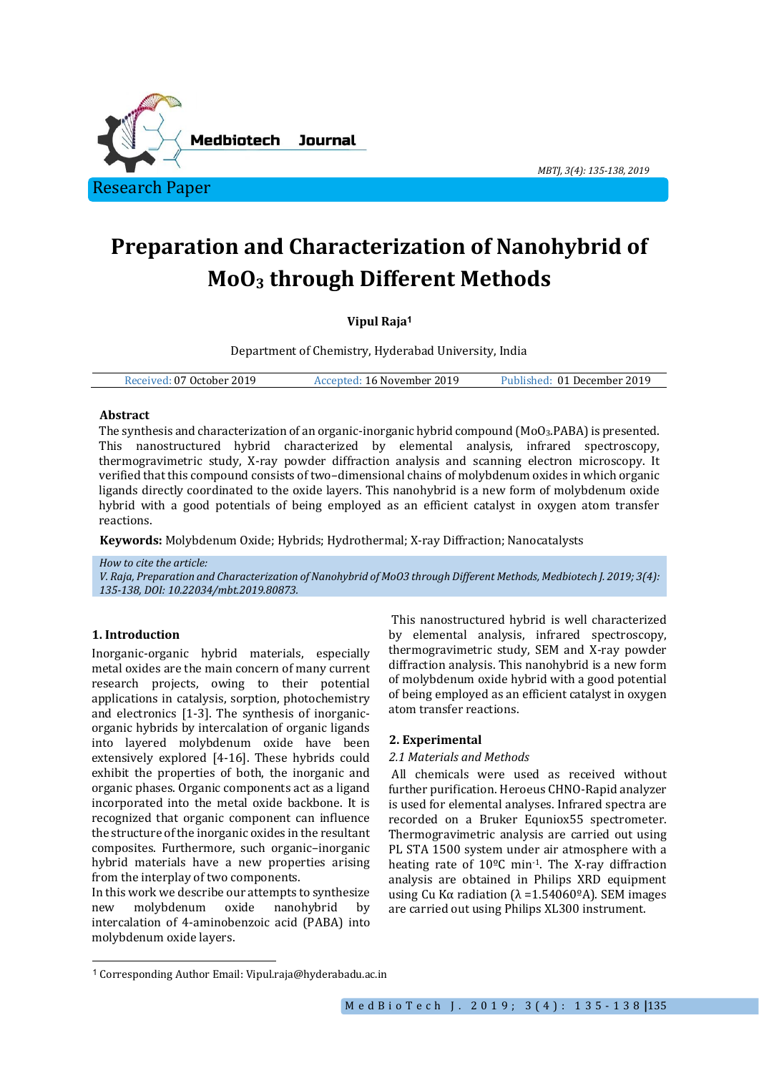

*MBTJ, 3(4): 135-138, 2019*

# **Preparation and Characterization of Nanohybrid of MoO<sup>3</sup> through Different Methods**

# **Vipul Raja<sup>1</sup>**

Department of Chemistry, Hyderabad University, India

| Published: 01 December 2019<br>Received: 07 October 2019<br>Accepted: 16 November 2019 |  |
|----------------------------------------------------------------------------------------|--|
|----------------------------------------------------------------------------------------|--|

# **Abstract**

The synthesis and characterization of an organic-inorganic hybrid compound (MoO3.PABA) is presented. This nanostructured hybrid characterized by elemental analysis, infrared spectroscopy, thermogravimetric study, X-ray powder diffraction analysis and scanning electron microscopy. It verified that this compound consists of two–dimensional chains of molybdenum oxides in which organic ligands directly coordinated to the oxide layers. This nanohybrid is a new form of molybdenum oxide hybrid with a good potentials of being employed as an efficient catalyst in oxygen atom transfer reactions.

**Keywords:** Molybdenum Oxide; Hybrids; Hydrothermal; X-ray Diffraction; Nanocatalysts

*How to cite the article: V. Raja, Preparation and Characterization of Nanohybrid of MoO3 through Different Methods, Medbiotech J. 2019; 3(4): 135-138, DOI: 10.22034/mbt.2019.80873.*

# **1. Introduction**

 $\overline{a}$ 

Inorganic-organic hybrid materials, especially metal oxides are the main concern of many current research projects, owing to their potential applications in catalysis, sorption, photochemistry and electronics [1-3]. The synthesis of inorganicorganic hybrids by intercalation of organic ligands into layered molybdenum oxide have been extensively explored [4-16]. These hybrids could exhibit the properties of both, the inorganic and organic phases. Organic components act as a ligand incorporated into the metal oxide backbone. It is recognized that organic component can influence the structure of the inorganic oxides in the resultant composites. Furthermore, such organic–inorganic hybrid materials have a new properties arising from the interplay of two components.

In this work we describe our attempts to synthesize new molybdenum oxide nanohybrid by intercalation of 4-aminobenzoic acid (PABA) into molybdenum oxide layers.

This nanostructured hybrid is well characterized by elemental analysis, infrared spectroscopy, thermogravimetric study, SEM and X-ray powder diffraction analysis. This nanohybrid is a new form of molybdenum oxide hybrid with a good potential of being employed as an efficient catalyst in oxygen atom transfer reactions.

# **2. Experimental**

#### *2.1 Materials and Methods*

All chemicals were used as received without further purification. Heroeus CHNO-Rapid analyzer is used for elemental analyses. Infrared spectra are recorded on a Bruker Equniox55 spectrometer. Thermogravimetric analysis are carried out using PL STA 1500 system under air atmosphere with a heating rate of  $10^{\circ}$ C min<sup>-1</sup>. The X-ray diffraction analysis are obtained in Philips XRD equipment using Cu Kα radiation  $(λ = 1.54060<sup>°</sup>A)$ . SEM images are carried out using Philips XL300 instrument.

<sup>1</sup> Corresponding Author Email: Vipul.raja@hyderabadu.ac.in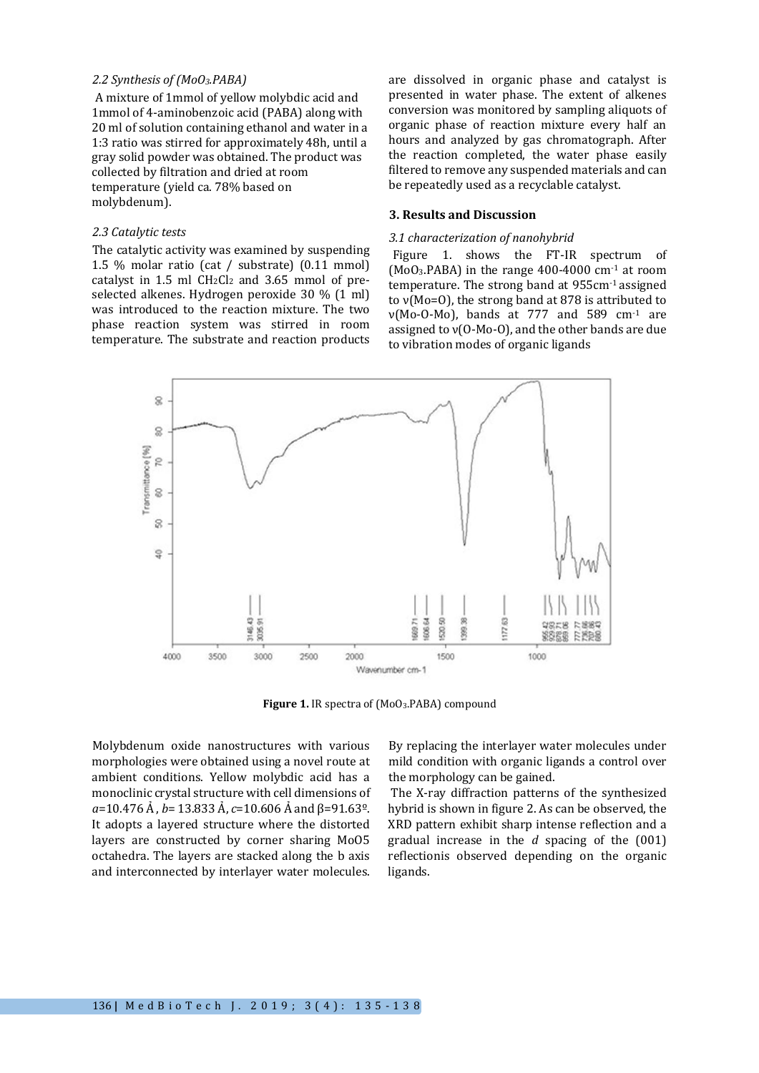#### *2.2 Synthesis of (MoO3.PABA)*

A mixture of 1mmol of yellow molybdic acid and 1mmol of 4-aminobenzoic acid (PABA) along with 20 ml of solution containing ethanol and water in a 1:3 ratio was stirred for approximately 48h, until a gray solid powder was obtained. The product was collected by filtration and dried at room temperature (yield ca. 78% based on molybdenum).

# *2.3 Catalytic tests*

The catalytic activity was examined by suspending 1.5 % molar ratio (cat / substrate) (0.11 mmol) catalyst in  $1.5$  ml  $CH<sub>2</sub>Cl<sub>2</sub>$  and  $3.65$  mmol of preselected alkenes. Hydrogen peroxide 30 % (1 ml) was introduced to the reaction mixture. The two phase reaction system was stirred in room temperature. The substrate and reaction products are dissolved in organic phase and catalyst is presented in water phase. The extent of alkenes conversion was monitored by sampling aliquots of organic phase of reaction mixture every half an hours and analyzed by gas chromatograph. After the reaction completed, the water phase easily filtered to remove any suspended materials and can be repeatedly used as a recyclable catalyst.

#### **3. Results and Discussion**

#### *3.1 characterization of nanohybrid*

Figure 1. shows the FT-IR spectrum of (MoO3.PABA) in the range 400-4000 cm-1 at room temperature. The strong band at 955cm-1 assigned to ν(Mo=O), the strong band at 878 is attributed to  $v(Mo-O-Mo)$ , bands at 777 and 589 cm<sup>-1</sup> are assigned to ν(O-Mo-O), and the other bands are due to vibration modes of organic ligands



Figure 1. IR spectra of (MoO<sub>3</sub>.PABA) compound

Molybdenum oxide nanostructures with various morphologies were obtained using a novel route at ambient conditions. Yellow molybdic acid has a monoclinic crystal structure with cell dimensions of *a*=10.476 Ả , *b*= 13.833 Ả, *c*=10.606 Ả and β=91.63º. It adopts a layered structure where the distorted layers are constructed by corner sharing MoO5 octahedra. The layers are stacked along the b axis and interconnected by interlayer water molecules.

By replacing the interlayer water molecules under mild condition with organic ligands a control over the morphology can be gained.

The X-ray diffraction patterns of the synthesized hybrid is shown in figure 2. As can be observed, the XRD pattern exhibit sharp intense reflection and a gradual increase in the *d* spacing of the (001) reflectionis observed depending on the organic ligands.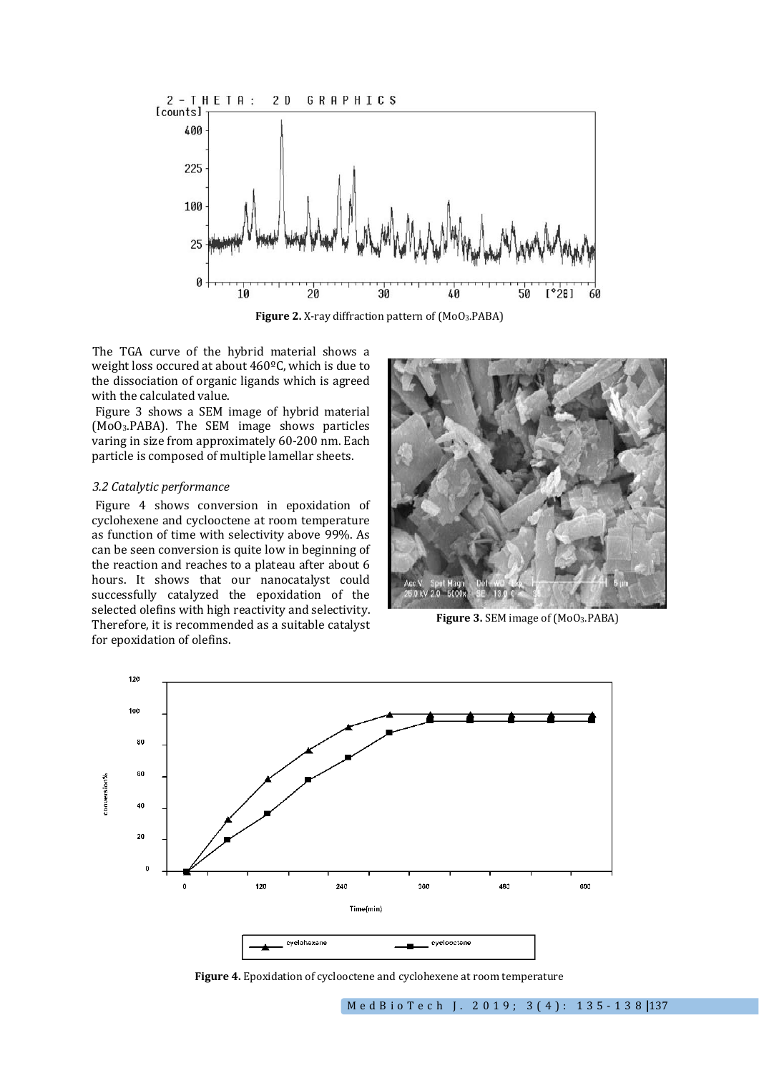

**Figure 2.** X-ray diffraction pattern of (MoO3.PABA)

The TGA curve of the hybrid material shows a weight loss occured at about 460ºC, which is due to the dissociation of organic ligands which is agreed with the calculated value.

Figure 3 shows a SEM image of hybrid material (MoO3.PABA). The SEM image shows particles varing in size from approximately 60-200 nm. Each particle is composed of multiple lamellar sheets.

## *3.2 Catalytic performance*

Figure 4 shows conversion in epoxidation of cyclohexene and cyclooctene at room temperature as function of time with selectivity above 99%. As can be seen conversion is quite low in beginning of the reaction and reaches to a plateau after about 6 hours. It shows that our nanocatalyst could successfully catalyzed the epoxidation of the selected olefins with high reactivity and selectivity. Therefore, it is recommended as a suitable catalyst for epoxidation of olefins.



Figure 3. SEM image of (MoO<sub>3</sub>.PABA)



**Figure 4.** Epoxidation of cyclooctene and cyclohexene at room temperature